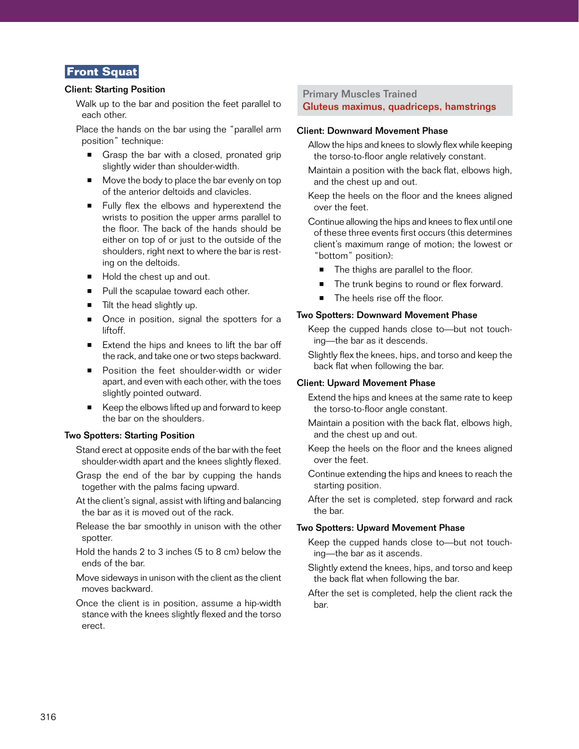# **Front Squat**

## Client: Starting Position

Walk up to the bar and position the feet parallel to each other.

Place the hands on the bar using the "parallel arm position" technique:

- Grasp the bar with a closed, pronated grip slightly wider than shoulder-width.
- Move the body to place the bar evenly on top of the anterior deltoids and clavicles.
- Fully flex the elbows and hyperextend the wrists to position the upper arms parallel to the floor. The back of the hands should be either on top of or just to the outside of the shoulders, right next to where the bar is resting on the deltoids.
- Hold the chest up and out.
- Pull the scapulae toward each other.
- Tilt the head slightly up.
- Once in position, signal the spotters for a liftoff.
- Extend the hips and knees to lift the bar off the rack, and take one or two steps backward.
- Position the feet shoulder-width or wider apart, and even with each other, with the toes slightly pointed outward.
- Keep the elbows lifted up and forward to keep the bar on the shoulders.

#### Two Spotters: Starting Position

- Stand erect at opposite ends of the bar with the feet shoulder-width apart and the knees slightly flexed.
- Grasp the end of the bar by cupping the hands together with the palms facing upward.
- At the client's signal, assist with lifting and balancing the bar as it is moved out of the rack.
- Release the bar smoothly in unison with the other spotter.
- Hold the hands 2 to 3 inches (5 to 8 cm) below the ends of the bar.
- Move sideways in unison with the client as the client moves backward.
- Once the client is in position, assume a hip-width stance with the knees slightly flexed and the torso erect.

# Primary Muscles Trained Gluteus maximus, quadriceps, hamstrings

## Client: Downward Movement Phase

Allow the hips and knees to slowly flex while keeping the torso-to-floor angle relatively constant.

- Maintain a position with the back flat, elbows high, and the chest up and out.
- Keep the heels on the floor and the knees aligned over the feet.

Continue allowing the hips and knees to flex until one of these three events first occurs (this determines client's maximum range of motion; the lowest or "bottom" position):

- The thighs are parallel to the floor.
- The trunk begins to round or flex forward.
- The heels rise off the floor.

## Two Spotters: Downward Movement Phase

- Keep the cupped hands close to—but not touching—the bar as it descends.
- Slightly flex the knees, hips, and torso and keep the back flat when following the bar.

#### Client: Upward Movement Phase

- Extend the hips and knees at the same rate to keep the torso-to-floor angle constant.
- Maintain a position with the back flat, elbows high, and the chest up and out.
- Keep the heels on the floor and the knees aligned over the feet.
- Continue extending the hips and knees to reach the starting position.
- After the set is completed, step forward and rack the bar.

#### Two Spotters: Upward Movement Phase

- Keep the cupped hands close to—but not touching—the bar as it ascends.
- Slightly extend the knees, hips, and torso and keep the back flat when following the bar.
- After the set is completed, help the client rack the bar.